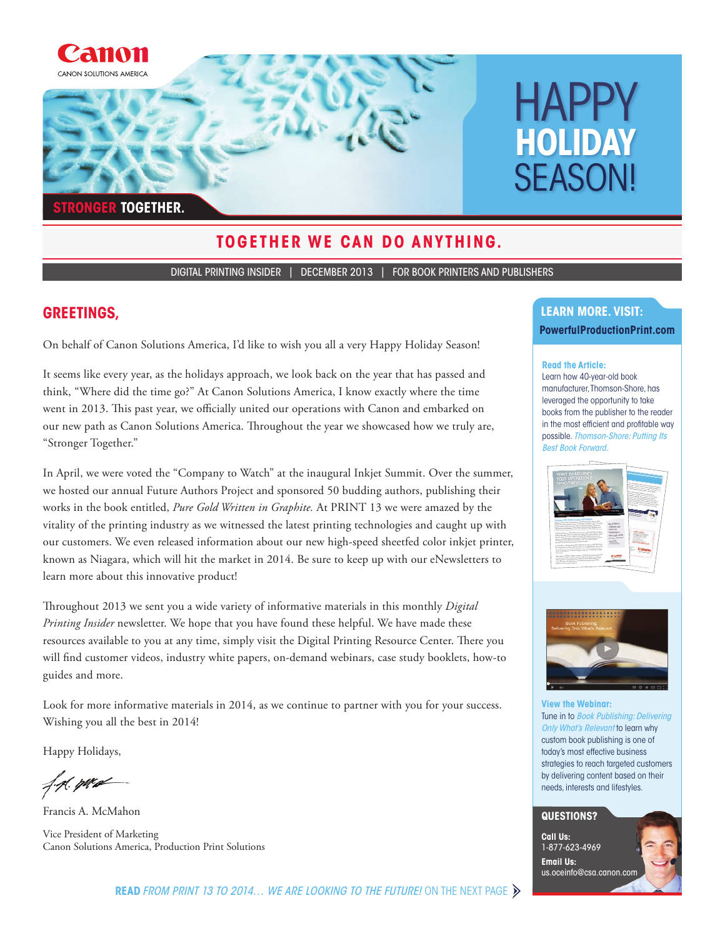

### **TOGETHER WE CAN DO ANYTHING.**

DIGITAL PRINTING INSIDER | DECEMBER 2013 | FOR BOOK PRINTERS AND PUBLISHERS

#### **GREETINGS,**

On behalf of Canon Solutions America, I'd like to wish you all a very Happy Holiday Season!

It seems like every year, as the holidays approach, we look back on the year that has passed and think, "Where did the time go?" At Canon Solutions America, I know exactly where the time went in 2013. This past year, we officially united our operations with Canon and embarked on our new path as Canon Solutions America. Throughout the year we showcased how we truly are, "Stronger Together."

In April, we were voted the "Company to Watch" at the inaugural Inkjet Summit. Over the summer, we hosted our annual Future Authors Project and sponsored 50 budding authors, publishing their works in the book entitled, *Pure Gold Written in Graphite.* At PRINT 13 we were amazed by the vitality of the printing industry as we witnessed the latest printing technologies and caught up with our customers. We even released information about our new high-speed sheetfed color inkjet printer, known as Niagara, which will hit the market in 2014. Be sure to keep up with our eNewsletters to learn more about this innovative product!

Throughout 2013 we sent you a wide variety of informative materials in this monthly *Digital Printing Insider* newsletter. We hope that you have found these helpful. We have made these resources available to you at any time, simply visit the Digital Printing Resource Center. There you will find customer videos, industry white papers, on-demand webinars, case study booklets, how-to guides and more.

Look for more informative materials in 2014, as we continue to partner with you for your success. Wishing you all the best in 2014!

Happy Holidays,

f.p. pro-

Francis A. McMahon

Vice President of Marketing Canon Solutions America, Production Print Solutions

# **LEARN MORE. VISIT:**

#### **PowerfulProductionPrint.com**

#### **Read the Article:**

Learn how 40-year-old book manufacturer, Thomson-Shore, has leveraged the opportunity to take books from the publisher to the reader in the most efficient and profitable way possible. Thomson-Shore: Putting Its Best Book Forward.





**View the Webinar:** Tune in to **Book Publishing: Delivering** Only What's Relevant to learn why custom book publishing is one of today's most effective business strategies to reach targeted customers by delivering content based on their needs, interests and lifestyles.

#### **QUESTIONS?**

**Call Us:**  1-877-623-4969 **Email Us:**  us.oceinfo@csa.canon.com

**READ** FROM PRINT 13 TO 2014... WE ARE LOOKING TO THE FUTURE! ON THE NEXT PAGE  $\triangleright$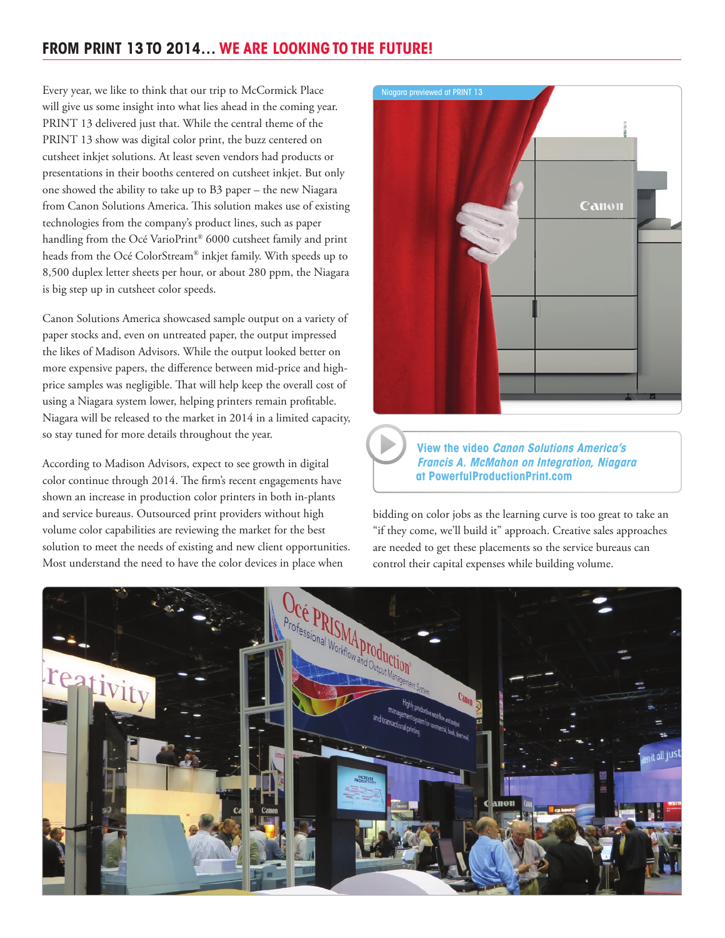# **FROM PRINT 13 TO 2014… WE ARE LOOKING TO THE FUTURE!**

Every year, we like to think that our trip to McCormick Place will give us some insight into what lies ahead in the coming year. PRINT 13 delivered just that. While the central theme of the PRINT 13 show was digital color print, the buzz centered on cutsheet inkjet solutions. At least seven vendors had products or presentations in their booths centered on cutsheet inkjet. But only one showed the ability to take up to B3 paper – the new Niagara from Canon Solutions America. This solution makes use of existing technologies from the company's product lines, such as paper handling from the Océ VarioPrint® 6000 cutsheet family and print heads from the Océ ColorStream® inkjet family. With speeds up to 8,500 duplex letter sheets per hour, or about 280 ppm, the Niagara is big step up in cutsheet color speeds.

Canon Solutions America showcased sample output on a variety of paper stocks and, even on untreated paper, the output impressed the likes of Madison Advisors. While the output looked better on more expensive papers, the difference between mid-price and highprice samples was negligible. That will help keep the overall cost of using a Niagara system lower, helping printers remain profitable. Niagara will be released to the market in 2014 in a limited capacity, so stay tuned for more details throughout the year.

According to Madison Advisors, expect to see growth in digital color continue through 2014. The firm's recent engagements have shown an increase in production color printers in both in-plants and service bureaus. Outsourced print providers without high volume color capabilities are reviewing the market for the best solution to meet the needs of existing and new client opportunities. Most understand the need to have the color devices in place when



**View the video Canon Solutions America's Francis A. McMahon on Integration, Niagara at PowerfulProductionPrint.com**

bidding on color jobs as the learning curve is too great to take an "if they come, we'll build it" approach. Creative sales approaches are needed to get these placements so the service bureaus can control their capital expenses while building volume.

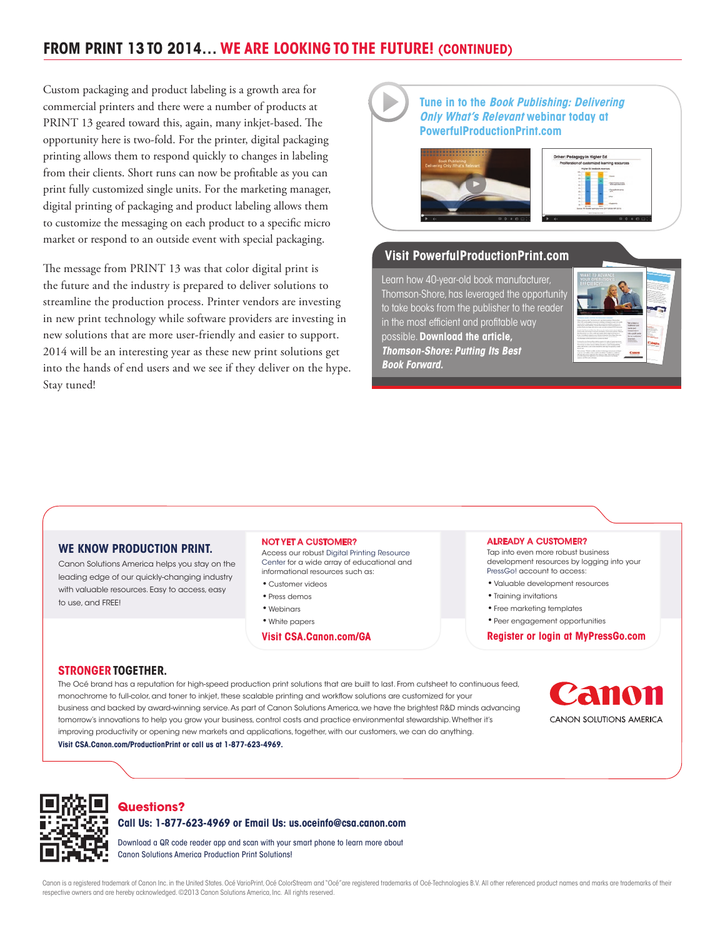# **FROM PRINT 13 TO 2014… WE ARE LOOKING TO THE FUTURE! (CONTINUED)**

Custom packaging and product labeling is a growth area for commercial printers and there were a number of products at PRINT 13 geared toward this, again, many inkjet-based. The opportunity here is two-fold. For the printer, digital packaging printing allows them to respond quickly to changes in labeling from their clients. Short runs can now be profitable as you can print fully customized single units. For the marketing manager, digital printing of packaging and product labeling allows them to customize the messaging on each product to a specific micro market or respond to an outside event with special packaging.

The message from PRINT 13 was that color digital print is the future and the industry is prepared to deliver solutions to streamline the production process. Printer vendors are investing in new print technology while software providers are investing in new solutions that are more user-friendly and easier to support. 2014 will be an interesting year as these new print solutions get into the hands of end users and we see if they deliver on the hype. Stay tuned!

#### **Tune in to the Book Publishing: Delivering Only What's Relevant webinar today at PowerfulProductionPrint.com**





#### **Visit PowerfulProductionPrint.com**

Learn how 40-year-old book manufacturer, Thomson-Shore, has leveraged the opportunity to take books from the publisher to the reader in the most efficient and profitable way possible. **Download the article, Thomson-Shore: Putting Its Best Book Forward.** 



#### **WE KNOW PRODUCTION PRINT.**

Canon Solutions America helps you stay on the leading edge of our quickly-changing industry with valuable resources. Easy to access, easy to use, and FREE!

#### NOT YET A CUSTOMER?

Access our robust Digital Printing Resource Center for a wide array of educational and informational resources such as:

- •Customer videos
- •Press demos
- •Webinars
- •White papers

**Visit CSA.Canon.com/GA**

#### ALREADY A CUSTOMER?

Tap into even more robust business development resources by logging into your PressGo! account to access:

- •Valuable development resources
- •Training invitations
- •Free marketing templates
- •Peer engagement opportunities

**Register or login at MyPressGo.com**

#### **STRONGER TOGETHER.**

The Océ brand has a reputation for high-speed production print solutions that are built to last. From cutsheet to continuous feed, monochrome to full-color, and toner to inkjet, these scalable printing and workflow solutions are customized for your business and backed by award-winning service. As part of Canon Solutions America, we have the brightest R&D minds advancing tomorrow's innovations to help you grow your business, control costs and practice environmental stewardship. Whether it's improving productivity or opening new markets and applications, together, with our customers, we can do anything. **Visit CSA.Canon.com/ProductionPrint or call us at 1-877-623-4969.**





#### **Questions?**

**Call Us: 1-877-623-4969 or Email Us: us.oceinfo@csa.canon.com**

Download a QR code reader app and scan with your smart phone to learn more about Canon Solutions America Production Print Solutions!

Canon is a registered trademark of Canon Inc. in the United States, Océ VarioPrint, Océ ColorStream and "Océ" are registered trademarks of Océ-Technologies B.V. All other referenced product names and marks are trademarks o respective owners and are hereby acknowledged. ©2013 Canon Solutions America, Inc. All rights reserved.